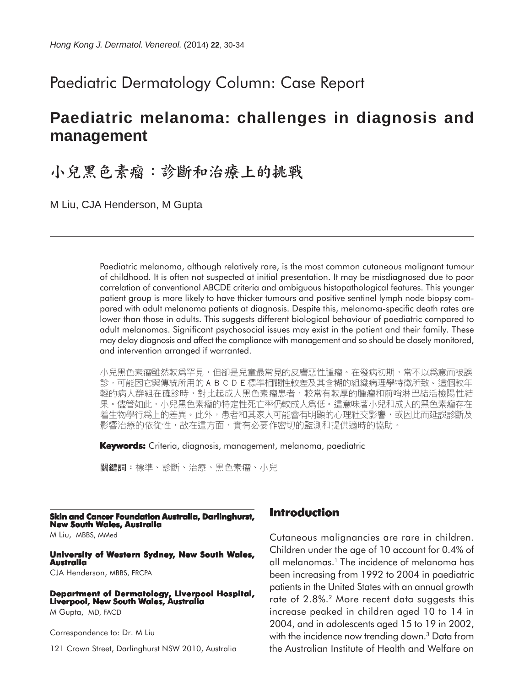## Paediatric Dermatology Column: Case Report

# **Paediatric melanoma: challenges in diagnosis and management**

# 小兒黑色素瘤:診斷和治療上的挑戰

M Liu, CJA Henderson, M Gupta

Paediatric melanoma, although relatively rare, is the most common cutaneous malignant tumour of childhood. It is often not suspected at initial presentation. It may be misdiagnosed due to poor correlation of conventional ABCDE criteria and ambiguous histopathological features. This younger patient group is more likely to have thicker tumours and positive sentinel lymph node biopsy compared with adult melanoma patients at diagnosis. Despite this, melanoma-specific death rates are lower than those in adults. This suggests different biological behaviour of paediatric compared to adult melanomas. Significant psychosocial issues may exist in the patient and their family. These may delay diagnosis and affect the compliance with management and so should be closely monitored, and intervention arranged if warranted.

小兒黑色素瘤雖然較爲罕見,但卻是兒童最常見的皮膚惡性腫瘤。在發病初期,常不以爲意而被誤 診,可能因它與傳統所用的ABCDE標準相關性較差及其含糊的組織病理學特徵所致。這個較年 輕的病人群組在確診時,對比起成人黑色素瘤患者,較常有較厚的腫瘤和前哨淋巴結活檢陽性結 果。儘管如此,小兒黑色素瘤的特定性死亡率仍較成人爲低。這意味著小兒和成人的黑色素瘤存在 着生物學行爲上的差異。此外,患者和其家人可能會有明顯的心理社交影響,或因此而延誤診斷及 影響治療的依從性,故在這方面,實有必要作密切的監測和提供適時的協助。

**Keywords:** Criteria, diagnosis, management, melanoma, paediatric

關鍵詞:標準、診斷、治療、黑色素瘤、小兒

#### **Skin and Cancer Foundation Australia, Darlinghurst, New South Wales, Australia**

M Liu, MBBS, MMed

#### **University of Western Sydney, New South Wales, Australia**

CJA Henderson, MBBS, FRCPA

#### **Department of Dermatology, Liverpool Hospital, Liverpool, New South Wales, Australia**

M Gupta, MD, FACD

Correspondence to: Dr. M Liu

121 Crown Street, Darlinghurst NSW 2010, Australia

## **Introduction**

Cutaneous malignancies are rare in children. Children under the age of 10 account for 0.4% of all melanomas.<sup>1</sup> The incidence of melanoma has been increasing from 1992 to 2004 in paediatric patients in the United States with an annual growth rate of 2.8%.<sup>2</sup> More recent data suggests this increase peaked in children aged 10 to 14 in 2004, and in adolescents aged 15 to 19 in 2002, with the incidence now trending down.<sup>3</sup> Data from the Australian Institute of Health and Welfare on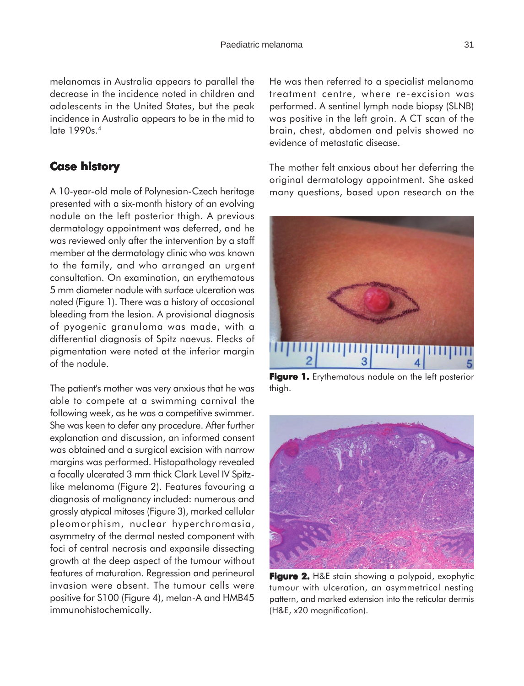## **Case history**

A 10-year-old male of Polynesian-Czech heritage presented with a six-month history of an evolving nodule on the left posterior thigh. A previous dermatology appointment was deferred, and he was reviewed only after the intervention by a staff member at the dermatology clinic who was known to the family, and who arranged an urgent consultation. On examination, an erythematous 5 mm diameter nodule with surface ulceration was noted (Figure 1). There was a history of occasional bleeding from the lesion. A provisional diagnosis of pyogenic granuloma was made, with a differential diagnosis of Spitz naevus. Flecks of pigmentation were noted at the inferior margin of the nodule.

The patient's mother was very anxious that he was able to compete at a swimming carnival the following week, as he was a competitive swimmer. She was keen to defer any procedure. After further explanation and discussion, an informed consent was obtained and a surgical excision with narrow margins was performed. Histopathology revealed a focally ulcerated 3 mm thick Clark Level IV Spitzlike melanoma (Figure 2). Features favouring a diagnosis of malignancy included: numerous and grossly atypical mitoses (Figure 3), marked cellular pleomorphism, nuclear hyperchromasia, asymmetry of the dermal nested component with foci of central necrosis and expansile dissecting growth at the deep aspect of the tumour without features of maturation. Regression and perineural invasion were absent. The tumour cells were positive for S100 (Figure 4), melan-A and HMB45 immunohistochemically.

He was then referred to a specialist melanoma treatment centre, where re-excision was performed. A sentinel lymph node biopsy (SLNB) was positive in the left groin. A CT scan of the brain, chest, abdomen and pelvis showed no evidence of metastatic disease.

The mother felt anxious about her deferring the original dermatology appointment. She asked many questions, based upon research on the



**Figure 1.** Erythematous nodule on the left posterior thigh.



**Figure 2. 2.** H&E stain showing a polypoid, exophytic tumour with ulceration, an asymmetrical nesting pattern, and marked extension into the reticular dermis (H&E, x20 magnification).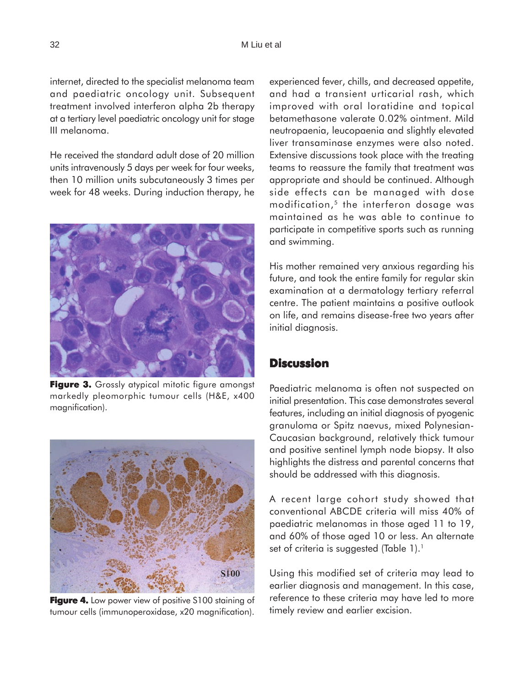internet, directed to the specialist melanoma team and paediatric oncology unit. Subsequent treatment involved interferon alpha 2b therapy at a tertiary level paediatric oncology unit for stage III melanoma.

He received the standard adult dose of 20 million units intravenously 5 days per week for four weeks, then 10 million units subcutaneously 3 times per week for 48 weeks. During induction therapy, he



**Figure 3.** Grossly atypical mitotic figure amongst markedly pleomorphic tumour cells (H&E, x400 magnification).



**Figure 4.** Low power view of positive S100 staining of tumour cells (immunoperoxidase, x20 magnification).

experienced fever, chills, and decreased appetite, and had a transient urticarial rash, which improved with oral loratidine and topical betamethasone valerate 0.02% ointment. Mild neutropaenia, leucopaenia and slightly elevated liver transaminase enzymes were also noted. Extensive discussions took place with the treating teams to reassure the family that treatment was appropriate and should be continued. Although side effects can be managed with dose modification,5 the interferon dosage was maintained as he was able to continue to participate in competitive sports such as running and swimming.

His mother remained very anxious regarding his future, and took the entire family for regular skin examination at a dermatology tertiary referral centre. The patient maintains a positive outlook on life, and remains disease-free two years after initial diagnosis.

## **Discussion**

Paediatric melanoma is often not suspected on initial presentation. This case demonstrates several features, including an initial diagnosis of pyogenic granuloma or Spitz naevus, mixed Polynesian-Caucasian background, relatively thick tumour and positive sentinel lymph node biopsy. It also highlights the distress and parental concerns that should be addressed with this diagnosis.

A recent large cohort study showed that conventional ABCDE criteria will miss 40% of paediatric melanomas in those aged 11 to 19, and 60% of those aged 10 or less. An alternate set of criteria is suggested (Table 1).<sup>1</sup>

Using this modified set of criteria may lead to earlier diagnosis and management. In this case, reference to these criteria may have led to more timely review and earlier excision.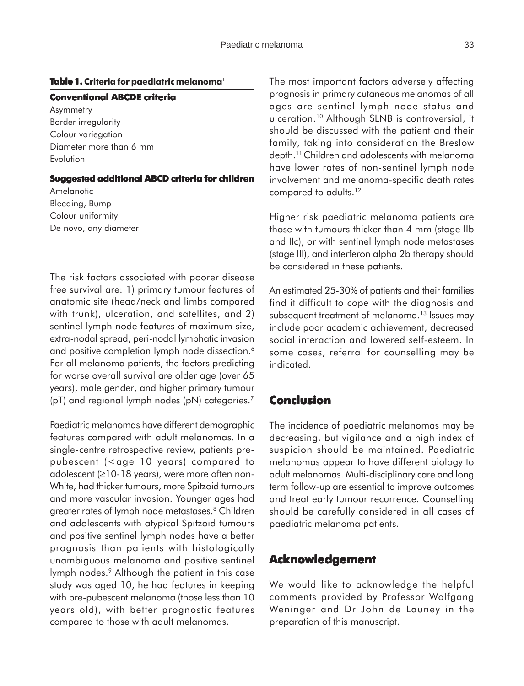### **Table 1.** Criteria for paediatric melanoma<sup>1</sup>

#### **Conventional ABCDE criteria**

Asymmetry Border irregularity Colour variegation Diameter more than 6 mm Evolution

#### **Suggested additional ABCD criteria for children**

Amelanotic Bleeding, Bump Colour uniformity De novo, any diameter

The risk factors associated with poorer disease free survival are: 1) primary tumour features of anatomic site (head/neck and limbs compared with trunk), ulceration, and satellites, and 2) sentinel lymph node features of maximum size, extra-nodal spread, peri-nodal lymphatic invasion and positive completion lymph node dissection.<sup>6</sup> For all melanoma patients, the factors predicting for worse overall survival are older age (over 65 years), male gender, and higher primary tumour (pT) and regional lymph nodes (pN) categories.7

Paediatric melanomas have different demographic features compared with adult melanomas. In a single-centre retrospective review, patients prepubescent (<age 10 years) compared to adolescent (≥10-18 years), were more often non-White, had thicker tumours, more Spitzoid tumours and more vascular invasion. Younger ages had greater rates of lymph node metastases.<sup>8</sup> Children and adolescents with atypical Spitzoid tumours and positive sentinel lymph nodes have a better prognosis than patients with histologically unambiguous melanoma and positive sentinel lymph nodes.<sup>9</sup> Although the patient in this case study was aged 10, he had features in keeping with pre-pubescent melanoma (those less than 10 years old), with better prognostic features compared to those with adult melanomas.

The most important factors adversely affecting prognosis in primary cutaneous melanomas of all ages are sentinel lymph node status and ulceration.10 Although SLNB is controversial, it should be discussed with the patient and their family, taking into consideration the Breslow depth.11 Children and adolescents with melanoma have lower rates of non-sentinel lymph node involvement and melanoma-specific death rates compared to adults.<sup>12</sup>

Higher risk paediatric melanoma patients are those with tumours thicker than 4 mm (stage IIb and IIc), or with sentinel lymph node metastases (stage III), and interferon alpha 2b therapy should be considered in these patients.

An estimated 25-30% of patients and their families find it difficult to cope with the diagnosis and subsequent treatment of melanoma.<sup>13</sup> Issues may include poor academic achievement, decreased social interaction and lowered self-esteem. In some cases, referral for counselling may be indicated.

## **Conclusion**

The incidence of paediatric melanomas may be decreasing, but vigilance and a high index of suspicion should be maintained. Paediatric melanomas appear to have different biology to adult melanomas. Multi-disciplinary care and long term follow-up are essential to improve outcomes and treat early tumour recurrence. Counselling should be carefully considered in all cases of paediatric melanoma patients.

## **Acknowledgement Acknowledgement**

We would like to acknowledge the helpful comments provided by Professor Wolfgang Weninger and Dr John de Launey in the preparation of this manuscript.